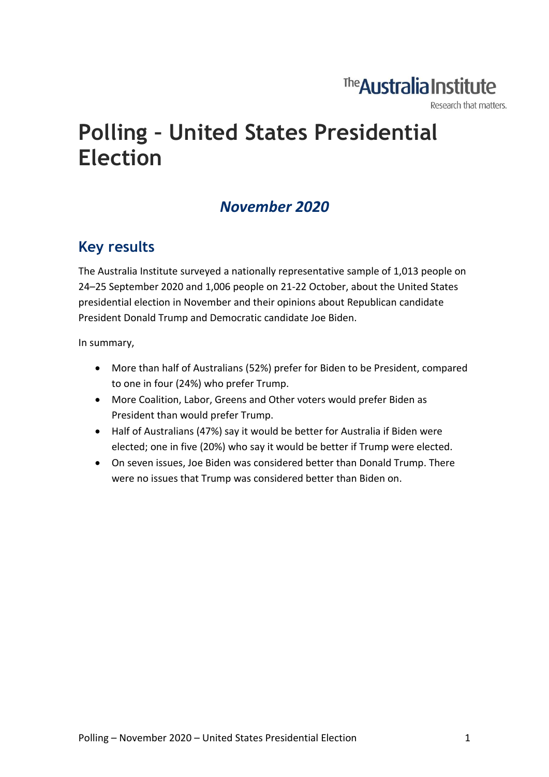## The Australia Institute

Research that matters.

# **Polling – United States Presidential Election**

### *November 2020*

### **Key results**

The Australia Institute surveyed a nationally representative sample of 1,013 people on 24–25 September 2020 and 1,006 people on 21-22 October, about the United States presidential election in November and their opinions about Republican candidate President Donald Trump and Democratic candidate Joe Biden.

In summary,

- More than half of Australians (52%) prefer for Biden to be President, compared to one in four (24%) who prefer Trump.
- More Coalition, Labor, Greens and Other voters would prefer Biden as President than would prefer Trump.
- Half of Australians (47%) say it would be better for Australia if Biden were elected; one in five (20%) who say it would be better if Trump were elected.
- On seven issues, Joe Biden was considered better than Donald Trump. There were no issues that Trump was considered better than Biden on.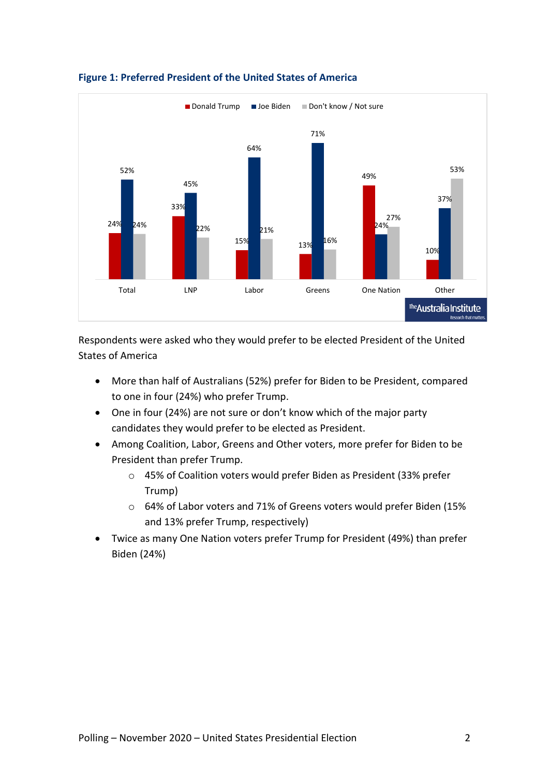

#### **Figure 1: Preferred President of the United States of America**

Respondents were asked who they would prefer to be elected President of the United States of America

- More than half of Australians (52%) prefer for Biden to be President, compared to one in four (24%) who prefer Trump.
- One in four (24%) are not sure or don't know which of the major party candidates they would prefer to be elected as President.
- Among Coalition, Labor, Greens and Other voters, more prefer for Biden to be President than prefer Trump.
	- o 45% of Coalition voters would prefer Biden as President (33% prefer Trump)
	- o 64% of Labor voters and 71% of Greens voters would prefer Biden (15% and 13% prefer Trump, respectively)
- Twice as many One Nation voters prefer Trump for President (49%) than prefer Biden (24%)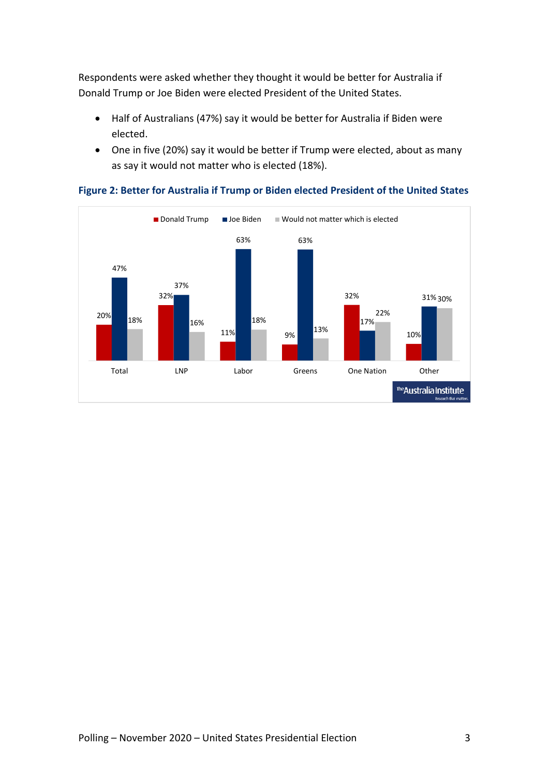Respondents were asked whether they thought it would be better for Australia if Donald Trump or Joe Biden were elected President of the United States.

- Half of Australians (47%) say it would be better for Australia if Biden were elected.
- One in five (20%) say it would be better if Trump were elected, about as many as say it would not matter who is elected (18%).



**Figure 2: Better for Australia if Trump or Biden elected President of the United States**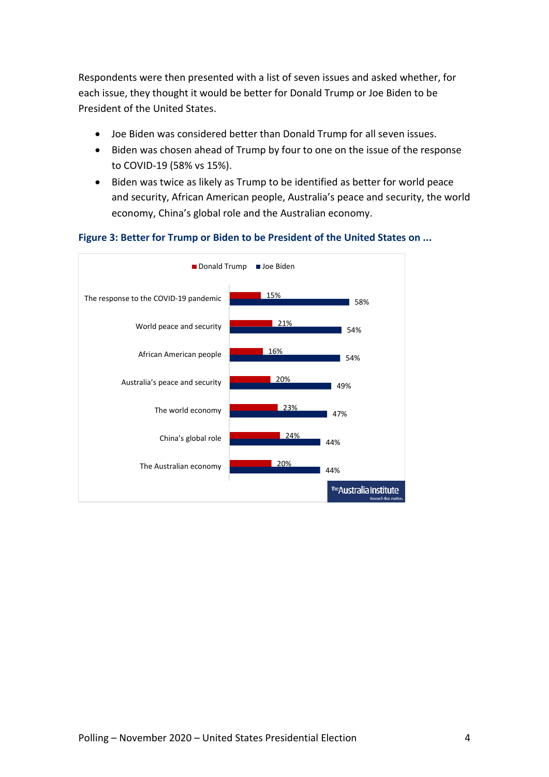Respondents were then presented with a list of seven issues and asked whether, for each issue, they thought it would be better for Donald Trump or Joe Biden to be President of the United States.

- Joe Biden was considered better than Donald Trump for all seven issues.
- Biden was chosen ahead of Trump by four to one on the issue of the response to COVID-19 (58% vs 15%).
- Biden was twice as likely as Trump to be identified as better for world peace and security, African American people, Australia's peace and security, the world economy, China's global role and the Australian economy.

#### **Figure 3: Better for Trump or Biden to be President of the United States on ...**

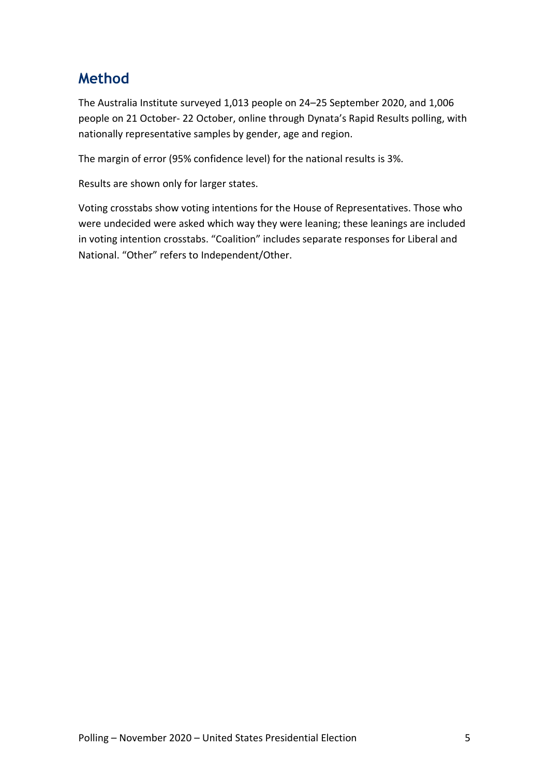### **Method**

The Australia Institute surveyed 1,013 people on 24–25 September 2020, and 1,006 people on 21 October- 22 October, online through Dynata's Rapid Results polling, with nationally representative samples by gender, age and region.

The margin of error (95% confidence level) for the national results is 3%.

Results are shown only for larger states.

Voting crosstabs show voting intentions for the House of Representatives. Those who were undecided were asked which way they were leaning; these leanings are included in voting intention crosstabs. "Coalition" includes separate responses for Liberal and National. "Other" refers to Independent/Other.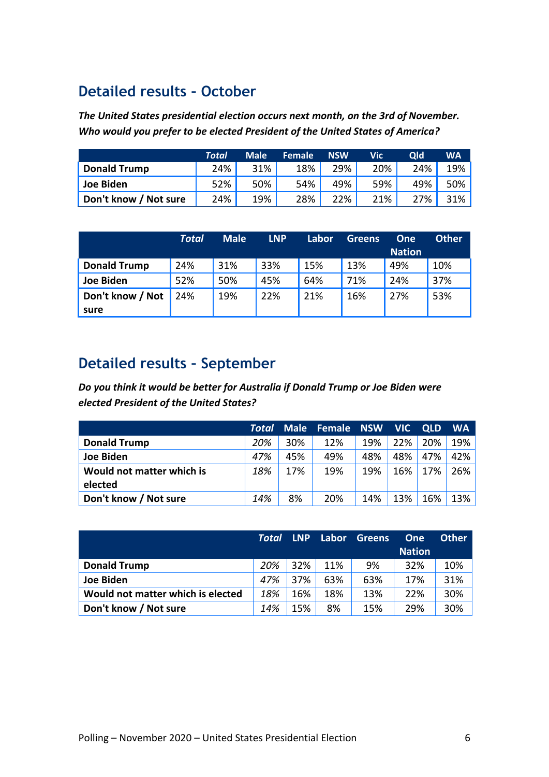### **Detailed results – October**

*The United States presidential election occurs next month, on the 3rd of November. Who would you prefer to be elected President of the United States of America?*

|                       | Total | <b>Male</b> | <b>Female</b> | <b>NSW</b> | Vic' | Old | <b>WA</b> |
|-----------------------|-------|-------------|---------------|------------|------|-----|-----------|
| <b>Donald Trump</b>   | 24%   | 31%         | 18%           | 29%        | 20%  | 24% | 19%       |
| Joe Biden             | 52%   | 50%         | 54%           | 49%        | 59%  | 49% | 50%       |
| Don't know / Not sure | 24%   | 19%         | 28%           | 22%        | 21%  | 27% | 31%       |

|                     | <b>Total</b> | <b>Male</b> | <b>LNP</b> | Labor | <b>Greens</b> | One<br><b>Nation</b> | <b>Other</b> |
|---------------------|--------------|-------------|------------|-------|---------------|----------------------|--------------|
| <b>Donald Trump</b> | 24%          | 31%         | 33%        | 15%   | 13%           | 49%                  | 10%          |
| <b>Joe Biden</b>    | 52%          | 50%         | 45%        | 64%   | 71%           | 24%                  | 37%          |
| Don't know / Not    | 24%          | 19%         | 22%        | 21%   | 16%           | 27%                  | 53%          |
| sure                |              |             |            |       |               |                      |              |

### **Detailed results – September**

*Do you think it would be better for Australia if Donald Trump or Joe Biden were elected President of the United States?*

|                           | Total | <b>Male</b> | Female NSW |     | <b>NIC</b> | <b>OLD</b> | <b>WA</b> |
|---------------------------|-------|-------------|------------|-----|------------|------------|-----------|
| <b>Donald Trump</b>       | 20%   | 30%         | 12%        | 19% | 22%        | 20%        | 19%       |
| Joe Biden                 | 47%   | 45%         | 49%        | 48% | 48%        | 47%        | 42%       |
| Would not matter which is | 18%   | 17%         | 19%        | 19% | 16%        | 17%        | 26%       |
| elected                   |       |             |            |     |            |            |           |
| Don't know / Not sure     | 14%   | 8%          | 20%        | 14% | 13%        | 16%        | 13%       |

|                                   | Total | <b>LNP</b> | Labor | <b>Greens</b> | <b>One</b>    | <b>Other</b> |
|-----------------------------------|-------|------------|-------|---------------|---------------|--------------|
|                                   |       |            |       |               | <b>Nation</b> |              |
| <b>Donald Trump</b>               | 20%   | 32%        | 11%   | 9%            | 32%           | 10%          |
| Joe Biden                         | 47%   | 37%        | 63%   | 63%           | 17%           | 31%          |
| Would not matter which is elected | 18%   | 16%        | 18%   | 13%           | 22%           | 30%          |
| Don't know / Not sure             | 14%   | 15%        | 8%    | 15%           | 29%           | 30%          |